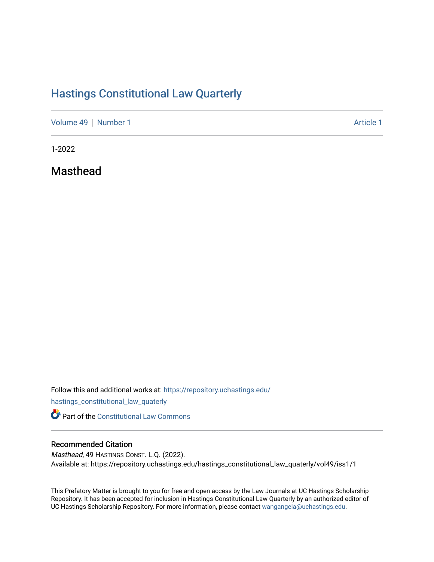# [Hastings Constitutional Law Quarterly](https://repository.uchastings.edu/hastings_constitutional_law_quaterly)

[Volume 49](https://repository.uchastings.edu/hastings_constitutional_law_quaterly/vol49) [Number 1](https://repository.uchastings.edu/hastings_constitutional_law_quaterly/vol49/iss1) Article 1

1-2022

Masthead

Follow this and additional works at: [https://repository.uchastings.edu/](https://repository.uchastings.edu/hastings_constitutional_law_quaterly?utm_source=repository.uchastings.edu%2Fhastings_constitutional_law_quaterly%2Fvol49%2Fiss1%2F1&utm_medium=PDF&utm_campaign=PDFCoverPages)

[hastings\\_constitutional\\_law\\_quaterly](https://repository.uchastings.edu/hastings_constitutional_law_quaterly?utm_source=repository.uchastings.edu%2Fhastings_constitutional_law_quaterly%2Fvol49%2Fiss1%2F1&utm_medium=PDF&utm_campaign=PDFCoverPages) 

**Part of the Constitutional Law Commons** 

## Recommended Citation

Masthead, 49 HASTINGS CONST. L.Q. (2022). Available at: https://repository.uchastings.edu/hastings\_constitutional\_law\_quaterly/vol49/iss1/1

This Prefatory Matter is brought to you for free and open access by the Law Journals at UC Hastings Scholarship Repository. It has been accepted for inclusion in Hastings Constitutional Law Quarterly by an authorized editor of UC Hastings Scholarship Repository. For more information, please contact [wangangela@uchastings.edu](mailto:wangangela@uchastings.edu).